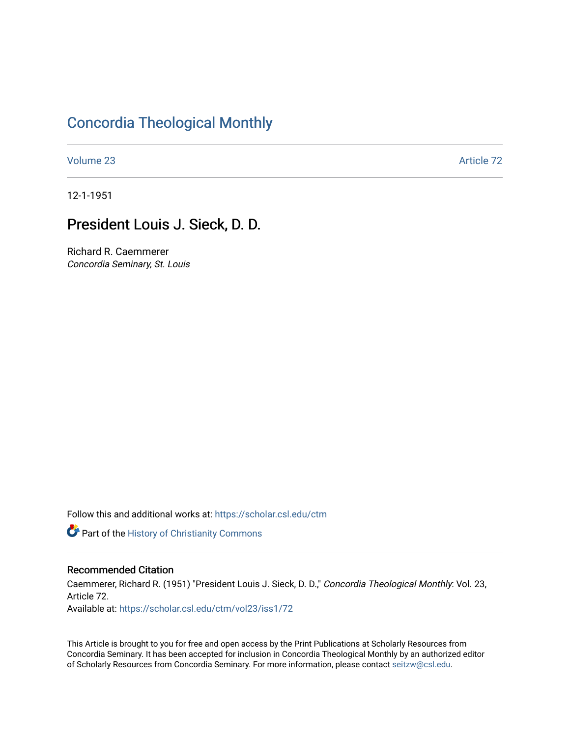### [Concordia Theological Monthly](https://scholar.csl.edu/ctm)

[Volume 23](https://scholar.csl.edu/ctm/vol23) Article 72

12-1-1951

## President Louis J. Sieck, D. D.

Richard R. Caemmerer Concordia Seminary, St. Louis

Follow this and additional works at: [https://scholar.csl.edu/ctm](https://scholar.csl.edu/ctm?utm_source=scholar.csl.edu%2Fctm%2Fvol23%2Fiss1%2F72&utm_medium=PDF&utm_campaign=PDFCoverPages)

**Part of the History of Christianity Commons** 

### Recommended Citation

Caemmerer, Richard R. (1951) "President Louis J. Sieck, D. D.," Concordia Theological Monthly: Vol. 23, Article 72.

Available at: [https://scholar.csl.edu/ctm/vol23/iss1/72](https://scholar.csl.edu/ctm/vol23/iss1/72?utm_source=scholar.csl.edu%2Fctm%2Fvol23%2Fiss1%2F72&utm_medium=PDF&utm_campaign=PDFCoverPages) 

This Article is brought to you for free and open access by the Print Publications at Scholarly Resources from Concordia Seminary. It has been accepted for inclusion in Concordia Theological Monthly by an authorized editor of Scholarly Resources from Concordia Seminary. For more information, please contact [seitzw@csl.edu](mailto:seitzw@csl.edu).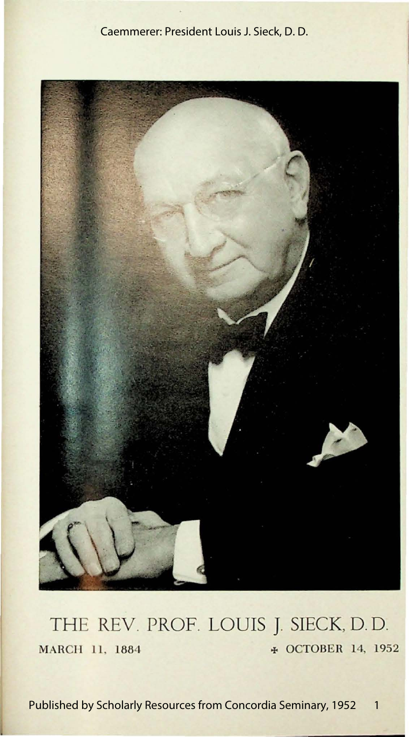### Caemmerer: President Louis J. Sieck, D. D.



## THE REV. PROF. LOUIS J. SIECK, D. D. **MARCH 11, 1884**  $\neq$  **OCTOBER 14, 1952**

1 Published by Scholarly Resources from Concordia Seminary, 1952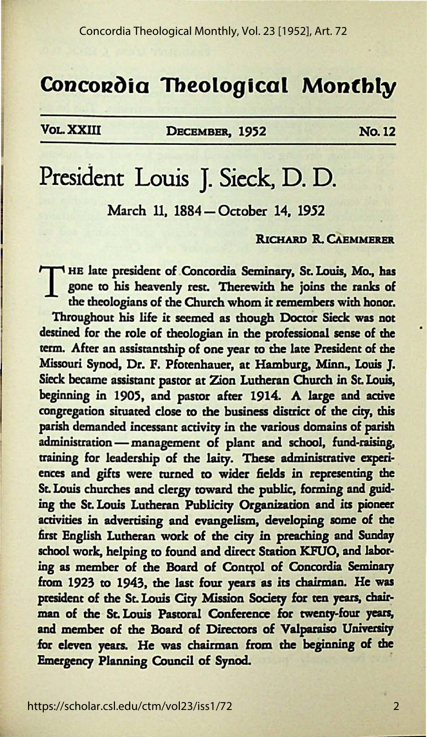### **Concordia Theological Monthly**

VoLXXW DECEMBER, 1952 No.12

# President Louis J. Sieck, D. D.

March 11, 1884 - October 14, 1952

#### RICHARD R. CAEMMERER

THE late president of Concordia Seminary, St. Louis, Mo., has<br>gone to his heavenly rest. Therewith he joins the ranks of<br>the theologians of the Church whom it remembers with honor. gone *tO* his heavenly rest. Therewith he joins the ranks of the theologians of the Church whom it remembers with honor. Throughout his life it seemed as though Doctor Sieck was not destined for the role of theologian in the professional sense of the term. After an assistantship of one year to the late President of the Missouri Synod, Dr. F. Pfotenhauer, at Hamburg, Minn., Louis J. Sieck became assistant pasror at Zion Lutheran Church in St. Louis, beginning in 1905, and pasror after 1914. **A large and active**  congregation situated close to the business district of the city, this parish demanded incessant activity in the various domains of parish administration - management of plant and school, fund-raising, training for leadership of the laity. **These admioisrrative esperi**ences and gifts were turned to wider fields in representing the St. Louis churches and clergy toward the public, forming and guiding the St. Louis Lutheran Publicity Organization and its pioneer activities in advertising and evangelism, developing some of the first English Lutheran work of the city in preaching and Sunday school work, helping to found and direct Station KFUO, and laboring as member of the Board of Control of Concordia Seminary from 1923 *t0* 1943, the last four years as its chairman. He was president of the St. Louis City Mission Society for ten years, chairman of the St. Louis Pastoral Conference for twenty-four years, and member of the Board of Directors of Valparaiso University for eleven years. He was chairman from the beginning of the Emergency Planning Council of Synod.

2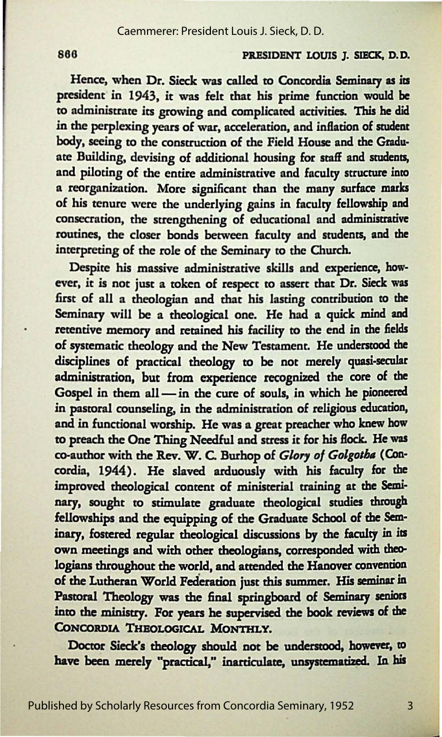#### 866 **PRESIDENT LOUIS J. SIECK, D. D.**

Hence, when Dr. Sieck was called to Concordia **Seminary as its**  president in 1943, it was felt that his prime function would be to administrate its growing and complicated activities. This **he did**  in the perplexing years of war, acceleration, and inflation of student body, seeing to the construction of the Field House and the Graduate Building, devising of additional housing for staff and students, and piloting of the entire administrative and faculty structure into a reorganization. More significant than the many surface marks of his tenure were the underlying gains in faculty fellowship and consecration, the strengthening of educational and administrative routines, the closer bonds between faculty nnd students, **and the**  interpreting of the role of the Seminary to the Church.

Despite his massive administrative skills and **experience, how**ever, it is not just a token of respect to assert that Dr. Sieck was first of all a theologian and that his lasting contribution to the Seminary will be a theological one. He had a quick mind and retentive memory and retained his facility to the end in the fields of systematic theology and the New Testament. He understood the disciplines of practical theology to be not merely quasi-secular administration, but from experience recognized the core of the Gospel in them all - in the cure of souls, in which he pioneered in pastoral counseling, in the administration of religious education, and in functional worship. He was a great preacher who **knew how**  to preach the One Thing Needful and stress it for his flock. He was co-author with the Rev. W. C. Burhop of *Glory of Golgotha* (Concordia, 1944). He slaved arduously with his faculty for the improved theological content of ministerial training at the Seminary, sought to stimulate graduate theological studies through fellowships and the equipping of the Graduate School of **the Sem·**  inary, fostered regular theological discussions by the faculty in its own meetings and with other theologians, corresponded with theologians throughout the world, and attended the Hanover convention of the Lutheran World Federation just this summer. His seminar in Pastoral Theology was the final springboard of Seminary seniors into the ministry. For years he supervised the book reviews of the CONCORDIA THEOLOGICAL MONTHLY.

Doctor Sieck's theology should not be understood, however, to have been merely "practical," inarticulate, unsystematized. In his